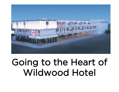

## Going to the Heart of Wildwood Hotel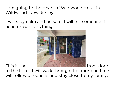I am going to the Heart of Wildwood Hotel in Wildwood, New Jersey.

I will stay calm and be safe. I will tell someone if I need or want anything.



This is the **FRACTURE INVESTIGATION** front door to the hotel. I will walk through the door one time. I will follow directions and stay close to my family.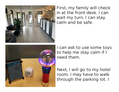

First, my family will check in at the front desk. I can wait my turn. I can stay calm and be safe.



I can ask to use some toys to help me stay calm if I need them.

Next, I will go to my hotel room. I may have to walk through the parking lot. I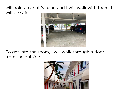## will hold an adult's hand and I will walk with them. I will be safe.



## To get into the room, I will walk through a door from the outside.

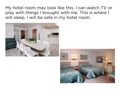My hotel room may look like this. I can watch TV or play with things I brought with me. This is where I will sleep. I will be safe in my hotel room.



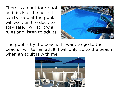There is an outdoor pool and deck at the hotel. I can be safe at the pool. I will walk on the deck to stay safe. I will follow all rules and listen to adults.



The pool is by the beach. If I want to go to the beach, I will tell an adult. I will only go to the beach when an adult is with me.

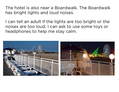The hotel is also near a Boardwalk. The Boardwalk has bright lights and loud noises.

I can tell an adult if the lights are too bright or the noises are too loud. I can ask to use some toys or headphones to help me stay calm.